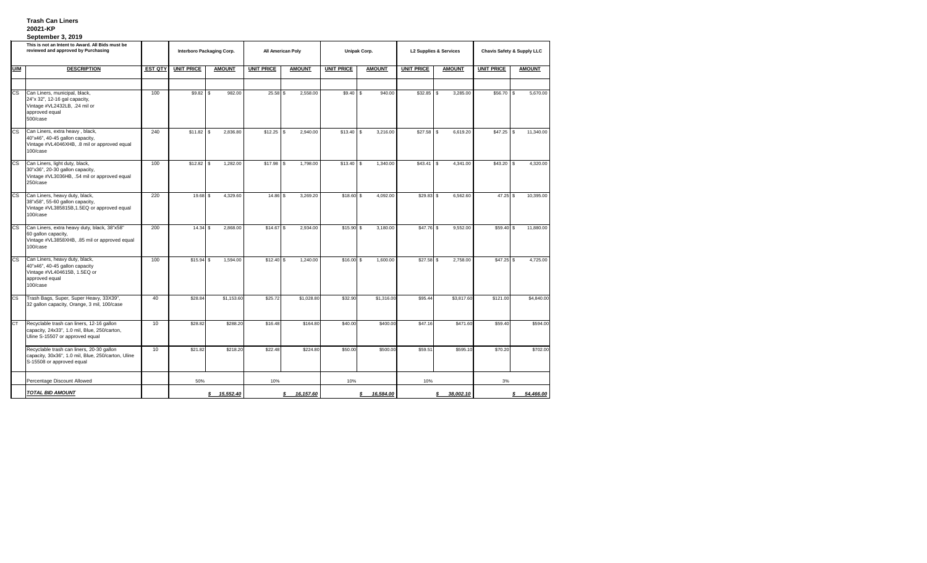## **Trash Can Liners 20021-KP September 3, 2019**

| This is not an Intent to Award. All Bids must be<br>reviewed and approved by Purchasing |                                                                                                                                  |                | <b>Interboro Packaging Corp.</b> |                        | <b>All American Poly</b> |                  | <b>Unipak Corp.</b> |                | <b>L2 Supplies &amp; Services</b> |                 | <b>Chavis Safety &amp; Supply LLC</b> |                  |
|-----------------------------------------------------------------------------------------|----------------------------------------------------------------------------------------------------------------------------------|----------------|----------------------------------|------------------------|--------------------------|------------------|---------------------|----------------|-----------------------------------|-----------------|---------------------------------------|------------------|
| <b>U/M</b>                                                                              | <b>DESCRIPTION</b>                                                                                                               | <b>EST QTY</b> | <b>UNIT PRICE</b>                | <b>AMOUNT</b>          | <b>UNIT PRICE</b>        | <b>AMOUNT</b>    | <b>UNIT PRICE</b>   | <b>AMOUNT</b>  | <b>UNIT PRICE</b>                 | <b>AMOUNT</b>   | <b>UNIT PRICE</b>                     | <b>AMOUNT</b>    |
|                                                                                         |                                                                                                                                  |                |                                  |                        |                          |                  |                     |                |                                   |                 |                                       |                  |
| <b>CS</b>                                                                               | Can Liners, municipal, black,<br>24"x 32", 12-16 gal capacity,<br>Vintage #VL2432LB, .24 mil or<br>approved equal<br>500/case    | 100            | $$9.82$ \ \$                     | 982.00                 | $25.58$ \$               | 2,558.00         | $$9.40$ \\$         | 940.00         |                                   | 3,285.00        | $$56.70$ \ \$                         | 5,670.00         |
| $\overline{\text{cs}}$                                                                  | Can Liners, extra heavy, black,<br>40"x46", 40-45 gallon capacity,<br>Vintage #VL4046XHB, .8 mil or approved equal<br>100/case   | 240            |                                  | 2,836.80               | $$12.25$ \ \\$           | 2,940.00         | $$13.40$ \ \$       | 3,216.00       |                                   | 6,619.20        | \$47.25                               | 11,340.00<br>-\$ |
| <b>CS</b>                                                                               | Can Liners, light duty, black,<br>30"x36", 20-30 gallon capacity,<br>Vintage #VL3036HB, .54 mil or approved equal<br>250/case    | 100            |                                  | 1,282.00               |                          | 1,798.00         |                     | 1,340.00       | $$43.41$ \ \$                     | 4,341.00        | \$43.20                               | 4,320.00<br>-\$  |
| <b>CS</b>                                                                               | Can Liners, heavy duty, black,<br>38"x58", 55-60 gallon capacity,<br>Vintage #VL385815B,1.5EQ or approved equal<br>100/case      | 220            | $19.68$ \$                       | 4,329.60               | $14.86$ \$               | 3,269.20         | $$18.60$ \$         | 4,092.00       |                                   | 6,562.60        | $47.25$ \$                            | 10,395.00        |
| $\overline{\text{cs}}$                                                                  | Can Liners, extra heavy duty, black, 38"x58"<br>60 gallon capacity,<br>Vintage #VL3858XHB, .85 mil or approved equal<br>100/case | 200            | $14.34$ \$                       | 2,868.00               | $$14.67$ \ \$            | 2,934.00         | $$15.90$ \$         | 3,180.00       | $$47.76$ \ \$                     | 9,552.00        | $$59.40$ \\$                          | 11,880.00        |
| $\overline{\text{cs}}$                                                                  | Can Liners, heavy duty, black,<br>40"x46", 40-45 gallon capacity<br>Vintage #VL404615B, 1.5EQ or<br>approved equal<br>100/case   | 100            | $$15.94$ \\$                     | 1,594.00               |                          | 1,240.00         | $$16.00$ \$         | 1,600.00       |                                   | 2,758.00        |                                       | 4,725.00         |
| <b>CS</b>                                                                               | Trash Bags, Super, Super Heavy, 33X39",<br>32 gallon capacity, Orange, 3 mil, 100/case                                           | 40             | \$28.84                          | \$1,153.60             | \$25.72                  | \$1,028.80       | \$32.90             | \$1,316.00     | \$95.44                           | \$3,817.60      | \$121.00                              | \$4,840.00       |
| Iст                                                                                     | Recyclable trash can liners, 12-16 gallon<br>capacity, 24x33", 1.0 mil, Blue, 250/carton,<br>Uline S-15507 or approved equal     | 10             | \$28.82                          | \$288.20               | \$16.48                  | \$164.80         | \$40.00             | \$400.00       | \$47.16                           | \$471.60        | \$59.40                               | \$594.00         |
|                                                                                         | Recyclable trash can liners, 20-30 gallon<br>capacity, 30x36", 1.0 mil, Blue, 250/carton, Uline<br>S-15508 or approved equal     | 10             | \$21.82                          | \$218.20               | \$22.48                  | \$224.80         | \$50.00             | \$500.00       | \$59.51                           | \$595.10        | \$70.20                               | \$702.00         |
|                                                                                         | Percentage Discount Allowed                                                                                                      |                | 50%                              |                        | 10%                      |                  | 10%                 |                | 10%                               |                 | 3%                                    |                  |
|                                                                                         | <b>TOTAL BID AMOUNT</b>                                                                                                          |                |                                  | <u>15,552.40</u><br>\$ |                          | <u>16,157.60</u> |                     | 16,584.00<br>S |                                   | 38,002.10<br>\$ |                                       | 54,466.00        |